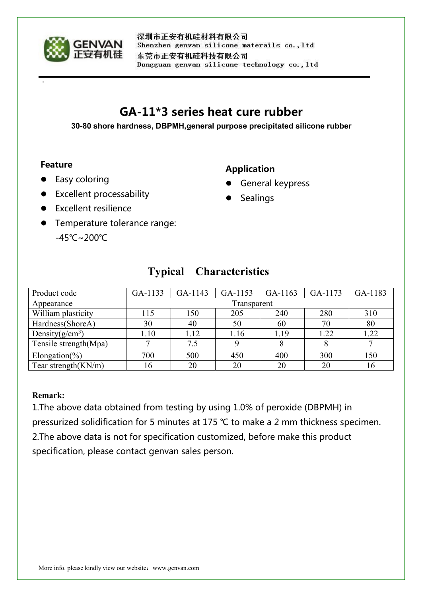

深圳市正安有机硅材料有限公司 Shenzhen genvan silicone materails co., ltd 东莞市正安有机硅科技有限公司 Dongguan genvan silicone technology co., ltd

# **GA-11\*3 series heat cure rubber**

**30-80 shore hardness, DBPMH,general purpose precipitated silicone rubber**

#### **Feature**

### Easy coloring

## **Application**

- **General keypress**
- Sealings

**•** Excellent resilience

**•** Excellent processability

**•** Temperature tolerance range: -45℃~200℃

| Product code           | GA-1133     | GA-1143 | GA-1153 | GA-1163 | GA-1173 | GA-1183 |
|------------------------|-------------|---------|---------|---------|---------|---------|
| Appearance             | Transparent |         |         |         |         |         |
| William plasticity     | 15          | 150     | 205     | 240     | 280     | 310     |
| Hardness(ShoreA)       | 30          | 40      | 50      | 60      | 70      | 80      |
| Density $(g/cm^3)$     | 1.10        | 1.12    | 1.16    | 1.19    | 1.22    | 1.22    |
| Tensile strength(Mpa)  |             | 7.5     |         |         |         |         |
| Elongation(%)          | 700         | 500     | 450     | 400     | 300     | 150     |
| Tear strength $(KN/m)$ | 16          | 20      | 20      | 20      | 20      | 16      |

# **Typical Characteristics**

#### **Remark:**

1.The above data obtained from testing by using 1.0% of peroxide (DBPMH) in pressurized solidification for 5 minutes at 175 ℃ to make a 2 mm thickness specimen. 2. The above data is not for specification customized, before make this product specification, please contact genvan sales person.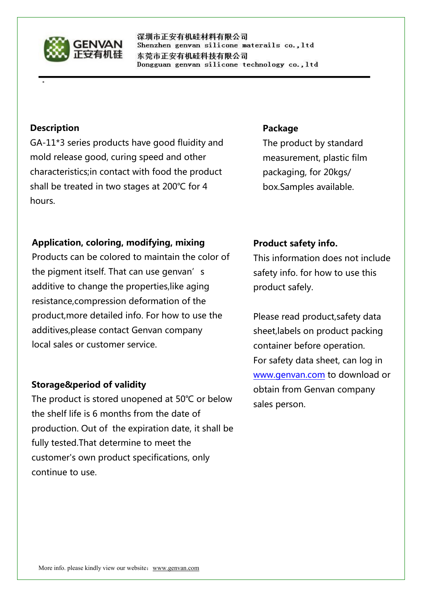

深圳市正安有机硅材料有限公司 Shenzhen genvan silicone materails co., ltd 东莞市正安有机硅科技有限公司 Dongguan genvan silicone technology co., ltd

#### **Description**

GA-11\*3 series products have good fluidity and mold release good, curing speed and other characteristics;in contact with food the product shall be treated in two stages at 200℃ for 4 hours.

#### **Package**

The product by standard measurement, plastic film packaging, for 20kgs/ box.Samples available.

#### **Application, coloring, modifying, mixing**

Products can be colored to maintain the color of the pigment itself. That can use genvan's additive to change the properties,like aging resistance,compression deformation of the product,more detailed info. For how to use the additives,please contact Genvan company local sales or customer service.

#### **Storage&period of validity**

The product is stored unopened at 50℃ or below the shelf life is 6 months from the date of production. Out of the expiration date, it shall be fully tested.That determine to meet the customer's own product specifications, only continue to use.

#### **Product safety info.**

This information does not include safety info. for how to use this product safely.

Please read product,safety data sheet,labels on product packing container before operation. For safety data sheet, can log in [www.genvan.com](http://www.genvan.com) to download or obtain from Genvan company sales person.